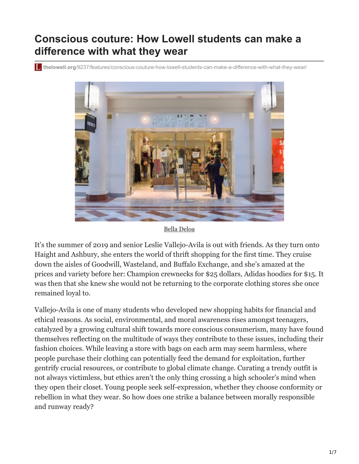## **Conscious couture: How Lowell students can make a difference with what they wear**

**thelowell.org**[/9237/features/conscious-couture-how-lowell-students-can-make-a-difference-with-what-they-wear/](https://thelowell.org/9237/features/conscious-couture-how-lowell-students-can-make-a-difference-with-what-they-wear/)



[Bella Deloa](https://thelowell.org/staff_profile/bella-deloa/)

It's the summer of 2019 and senior Leslie Vallejo-Avila is out with friends. As they turn onto Haight and Ashbury, she enters the world of thrift shopping for the first time. They cruise down the aisles of Goodwill, Wasteland, and Buffalo Exchange, and she's amazed at the prices and variety before her: Champion crewnecks for \$25 dollars, Adidas hoodies for \$15. It was then that she knew she would not be returning to the corporate clothing stores she once remained loyal to.

Vallejo-Avila is one of many students who developed new shopping habits for financial and ethical reasons. As social, environmental, and moral awareness rises amongst teenagers, catalyzed by a growing cultural shift towards more conscious consumerism, many have found themselves reflecting on the multitude of ways they contribute to these issues, including their fashion choices. While leaving a store with bags on each arm may seem harmless, where people purchase their clothing can potentially feed the demand for exploitation, further gentrify crucial resources, or contribute to global climate change. Curating a trendy outfit is not always victimless, but ethics aren't the only thing crossing a high schooler's mind when they open their closet. Young people seek self-expression, whether they choose conformity or rebellion in what they wear. So how does one strike a balance between morally responsible and runway ready?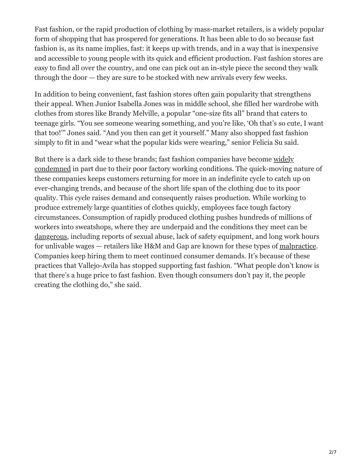Fast fashion, or the rapid production of clothing by mass-market retailers, is a widely popular form of shopping that has prospered for generations. It has been able to do so because fast fashion is, as its name implies, fast: it keeps up with trends, and in a way that is inexpensive and accessible to young people with its quick and efficient production. Fast fashion stores are easy to find all over the country, and one can pick out an in-style piece the second they walk through the door — they are sure to be stocked with new arrivals every few weeks.

In addition to being convenient, fast fashion stores often gain popularity that strengthens their appeal. When Junior Isabella Jones was in middle school, she filled her wardrobe with clothes from stores like Brandy Melville, a popular "one-size fits all" brand that caters to teenage girls. "You see someone wearing something, and you're like, 'Oh that's so cute, I want that too!'" Jones said. "And you then can get it yourself." Many also shopped fast fashion simply to fit in and "wear what the popular kids were wearing," senior Felicia Su said.

[But there is a dark side to these brands; fast fashion companies have become widely](https://www.nytimes.com/2019/09/03/books/review/how-fast-fashion-is-destroying-the-planet.html) condemned in part due to their poor factory working conditions. The quick-moving nature of these companies keeps customers returning for more in an indefinite cycle to catch up on ever-changing trends, and because of the short life span of the clothing due to its poor quality. This cycle raises demand and consequently raises production. While working to produce extremely large quantities of clothes quickly, employees face tough factory circumstances. Consumption of rapidly produced clothing pushes hundreds of millions of workers into sweatshops, where they are underpaid and the conditions they meet can be [dangerous,](https://medium.com/@ssaddlar/dangers-of-sweatshops-e0f6fddd435) including reports of sexual abuse, lack of safety equipment, and long work hours for unlivable wages — retailers like H&M and Gap are known for these types of [malpractice](https://www.nytimes.com/2016/05/31/business/international/top-retailers-fall-short-of-commitments-to-overseas-workers.html). Companies keep hiring them to meet continued consumer demands. It's because of these practices that Vallejo-Avila has stopped supporting fast fashion. "What people don't know is that there's a huge price to fast fashion. Even though consumers don't pay it, the people creating the clothing do," she said.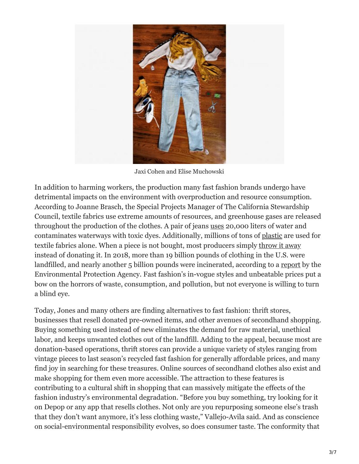

Jaxi Cohen and Elise Muchowski

In addition to harming workers, the production many fast fashion brands undergo have detrimental impacts on the environment with overproduction and resource consumption. According to Joanne Brasch, the Special Projects Manager of The California Stewardship Council, textile fabrics use extreme amounts of resources, and greenhouse gases are released throughout the production of the clothes. A pair of jeans [uses](https://oxfamapps.org.uk/shop-blog/sustainable-fashion/post-about-sustainable-fashion/) 20,000 liters of water and contaminates waterways with toxic dyes. Additionally, millions of tons of [plastic](https://www.newsecuritybeat.org/2020/07/plastic-pollution-woven-fast-fashion-culture-2/) are used for textile fabrics alone. When a piece is not bought, most producers simply [throw it away](https://www.nytimes.com/2010/01/06/nyregion/06about.html) instead of donating it. In 2018, more than 19 billion pounds of clothing in the U.S. were landfilled, and nearly another 5 billion pounds were incinerated, according to a [report](https://www.epa.gov/facts-and-figures-about-materials-waste-and-recycling/textiles-material-specific-data) by the Environmental Protection Agency. Fast fashion's in-vogue styles and unbeatable prices put a bow on the horrors of waste, consumption, and pollution, but not everyone is willing to turn a blind eye.

Today, Jones and many others are finding alternatives to fast fashion: thrift stores, businesses that resell donated pre-owned items, and other avenues of secondhand shopping. Buying something used instead of new eliminates the demand for raw material, unethical labor, and keeps unwanted clothes out of the landfill. Adding to the appeal, because most are donation-based operations, thrift stores can provide a unique variety of styles ranging from vintage pieces to last season's recycled fast fashion for generally affordable prices, and many find joy in searching for these treasures. Online sources of secondhand clothes also exist and make shopping for them even more accessible. The attraction to these features is contributing to a cultural shift in shopping that can massively mitigate the effects of the fashion industry's environmental degradation. "Before you buy something, try looking for it on Depop or any app that resells clothes. Not only are you repurposing someone else's trash that they don't want anymore, it's less clothing waste," Vallejo-Avila said. And as conscience on social-environmental responsibility evolves, so does consumer taste. The conformity that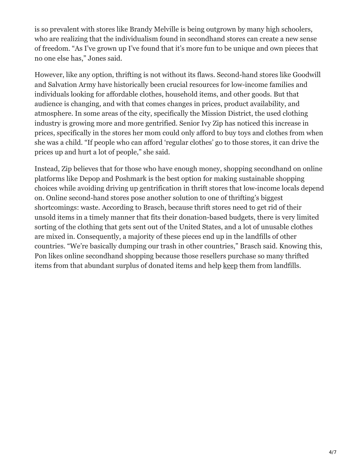is so prevalent with stores like Brandy Melville is being outgrown by many high schoolers, who are realizing that the individualism found in secondhand stores can create a new sense of freedom. "As I've grown up I've found that it's more fun to be unique and own pieces that no one else has," Jones said.

However, like any option, thrifting is not without its flaws. Second-hand stores like Goodwill and Salvation Army have historically been crucial resources for low-income families and individuals looking for affordable clothes, household items, and other goods. But that audience is changing, and with that comes changes in prices, product availability, and atmosphere. In some areas of the city, specifically the Mission District, the used clothing industry is growing more and more gentrified. Senior Ivy Zip has noticed this increase in prices, specifically in the stores her mom could only afford to buy toys and clothes from when she was a child. "If people who can afford 'regular clothes' go to those stores, it can drive the prices up and hurt a lot of people," she said.

Instead, Zip believes that for those who have enough money, shopping secondhand on online platforms like Depop and Poshmark is the best option for making sustainable shopping choices while avoiding driving up gentrification in thrift stores that low-income locals depend on. Online second-hand stores pose another solution to one of thrifting's biggest shortcomings: waste. According to Brasch, because thrift stores need to get rid of their unsold items in a timely manner that fits their donation-based budgets, there is very limited sorting of the clothing that gets sent out of the United States, and a lot of unusable clothes are mixed in. Consequently, a majority of these pieces end up in the landfills of other countries. "We're basically dumping our trash in other countries," Brasch said. Knowing this, Pon likes online secondhand shopping because those resellers purchase so many thrifted items from that abundant surplus of donated items and help [keep](https://imperfectidealist.com/is-thrifting-and-reselling-ethical/) them from landfills.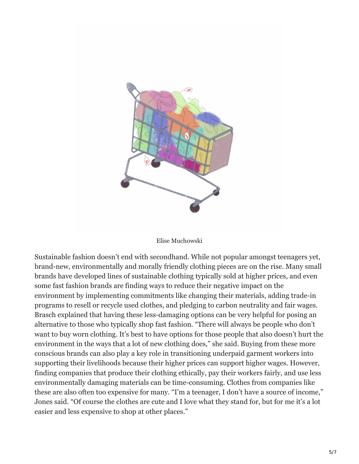

## Elise Muchowski

Sustainable fashion doesn't end with secondhand. While not popular amongst teenagers yet, brand-new, environmentally and morally friendly clothing pieces are on the rise. Many small brands have developed lines of sustainable clothing typically sold at higher prices, and even some fast fashion brands are finding ways to reduce their negative impact on the environment by implementing commitments like changing their materials, adding trade-in programs to resell or recycle used clothes, and pledging to carbon neutrality and fair wages. Brasch explained that having these less-damaging options can be very helpful for posing an alternative to those who typically shop fast fashion. "There will always be people who don't want to buy worn clothing. It's best to have options for those people that also doesn't hurt the environment in the ways that a lot of new clothing does," she said. Buying from these more conscious brands can also play a key role in transitioning underpaid garment workers into supporting their livelihoods because their higher prices can support higher wages. However, finding companies that produce their clothing ethically, pay their workers fairly, and use less environmentally damaging materials can be time-consuming. Clothes from companies like these are also often too expensive for many. "I'm a teenager, I don't have a source of income," Jones said. "Of course the clothes are cute and I love what they stand for, but for me it's a lot easier and less expensive to shop at other places."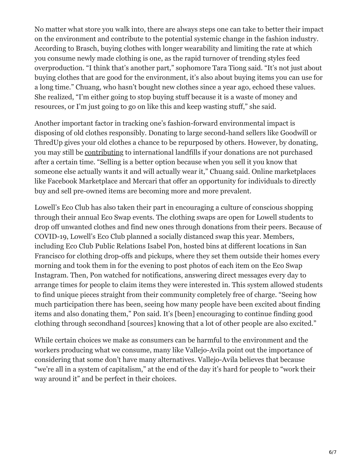No matter what store you walk into, there are always steps one can take to better their impact on the environment and contribute to the potential systemic change in the fashion industry. According to Brasch, buying clothes with longer wearability and limiting the rate at which you consume newly made clothing is one, as the rapid turnover of trending styles feed overproduction. "I think that's another part," sophomore Tara Tiong said. "It's not just about buying clothes that are good for the environment, it's also about buying items you can use for a long time." Chuang, who hasn't bought new clothes since a year ago, echoed these values. She realized, "I'm either going to stop buying stuff because it is a waste of money and resources, or I'm just going to go on like this and keep wasting stuff," she said.

Another important factor in tracking one's fashion-forward environmental impact is disposing of old clothes responsibly. Donating to large second-hand sellers like Goodwill or ThredUp gives your old clothes a chance to be repurposed by others. However, by donating, you may still be [contributing](https://scienceline.org/2018/06/the-troubled-second-life-of-donated-clothes/) to international landfills if your donations are not purchased after a certain time. "Selling is a better option because when you sell it you know that someone else actually wants it and will actually wear it," Chuang said. Online marketplaces like Facebook Marketplace and Mercari that offer an opportunity for individuals to directly buy and sell pre-owned items are becoming more and more prevalent.

Lowell's Eco Club has also taken their part in encouraging a culture of conscious shopping through their annual Eco Swap events. The clothing swaps are open for Lowell students to drop off unwanted clothes and find new ones through donations from their peers. Because of COVID-19, Lowell's Eco Club planned a socially distanced swap this year. Members, including Eco Club Public Relations Isabel Pon, hosted bins at different locations in San Francisco for clothing drop-offs and pickups, where they set them outside their homes every morning and took them in for the evening to post photos of each item on the Eco Swap Instagram. Then, Pon watched for notifications, answering direct messages every day to arrange times for people to claim items they were interested in. This system allowed students to find unique pieces straight from their community completely free of charge. "Seeing how much participation there has been, seeing how many people have been excited about finding items and also donating them," Pon said. It's [been] encouraging to continue finding good clothing through secondhand [sources] knowing that a lot of other people are also excited."

While certain choices we make as consumers can be harmful to the environment and the workers producing what we consume, many like Vallejo-Avila point out the importance of considering that some don't have many alternatives. Vallejo-Avila believes that because "we're all in a system of capitalism," at the end of the day it's hard for people to "work their way around it" and be perfect in their choices.